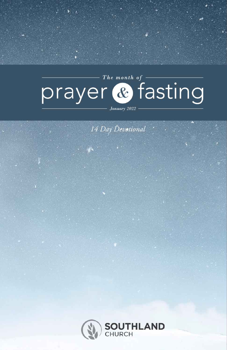# The month of  $$ prayer & fasting

January 2022

*14 Day Devotional*

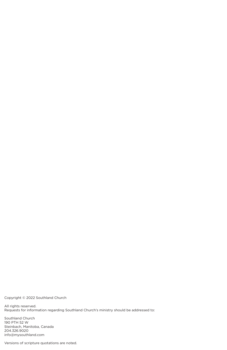Copyright © 2022 Southland Church

All rights reserved. Requests for information regarding Southland Church's ministry should be addressed to:

Southland Church 190 PTH 52 W Steinbach, Manitoba, Canada 204.326.9020 info@mysouthland.com

Versions of scripture quotations are noted.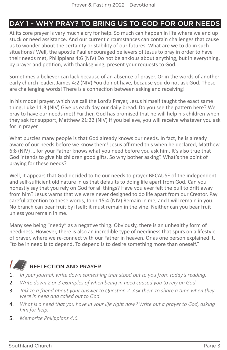### DAY 1 - WHY PRAY? TO BRING US TO GOD FOR OUR NEEDS

At its core prayer is very much a cry for help. So much can happen in life where we end up stuck or need assistance. And our current circumstances can contain challenges that cause us to wonder about the certainty or stability of our futures. What are we to do in such situations? Well, the apostle Paul encouraged believers of Jesus to pray in order to have their needs met, Philippians 4:6 (NIV) Do not be anxious about anything, but in everything, by prayer and petition, with thanksgiving, present your requests to God.

Sometimes a believer can lack because of an absence of prayer. Or in the words of another early church leader, James 4:2 (NIV) You do not have, because you do not ask God. These are challenging words! There is a connection between asking and receiving!

In his model prayer, which we call the Lord's Prayer, Jesus himself taught the exact same thing, Luke 11:3 (NIV) Give us each day our daily bread. Do you see the pattern here? We pray to have our needs met! Further, God has promised that he will help his children when they ask for support, Matthew 21:22 (NIV) If you believe, you will receive whatever you ask for in prayer.

What puzzles many people is that God already knows our needs. In fact, he is already aware of our needs before we know them! Jesus affirmed this when he declared, Matthew 6:8 (NIV) … for your Father knows what you need before you ask him. It's also true that God intends to give his children good gifts. So why bother asking? What's the point of praying for these needs?

Well, it appears that God decided to tie our needs to prayer BECAUSE of the independent and self-sufficient old nature in us that defaults to doing life apart from God. Can you honestly say that you rely on God for all things? Have you ever felt the pull to drift away from him? Jesus warns that we were never designed to do life apart from our Creator. Pay careful attention to these words, John 15:4 (NIV) Remain in me, and I will remain in you. No branch can bear fruit by itself; it must remain in the vine. Neither can you bear fruit unless you remain in me.

Many see being "needy" as a negative thing. Obviously, there is an unhealthy form of neediness. However, there is also an incredible type of neediness that spurs on a lifestyle of prayer, where we re-connect with our Father in heaven. Or as one person explained it, "to be in need is to depend. To depend is to desire something more than oneself."

#### $\mathcal{L}$ REFLECTION AND PRAYER

- 1. *In your journal, write down something that stood out to you from today's reading.*
- 2. *Write down 2 or 3 examples of when being in need caused you to rely on God.*
- 3. *Talk to a friend about your answer to Question 2. Ask them to share a time when they were in need and called out to God.*
- 4. *What is a need that you have in your life right now? Write out a prayer to God, asking him for help.*
- 5. *Memorize Philippians 4:6.*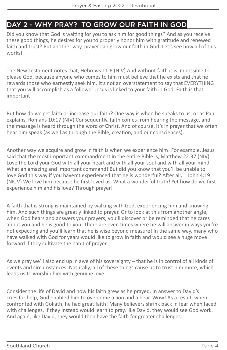### DAY 2 - WHY PRAY? TO GROW OUR FAITH IN GOD

Did you know that God is waiting for you to ask him for good things? And as you receive these good things, he desires for you to properly honor him with gratitude and renewed faith and trust? Put another way, prayer can grow our faith in God. Let's see how all of this works!

The New Testament notes that, Hebrews 11:6 (NIV) And without faith it is impossible to please God, because anyone who comes to him must believe that he exists and that he rewards those who earnestly seek him. It's not an overstatement to say that EVERYTHING that you will accomplish as a follower Jesus is linked to your faith in God. Faith is that important!

But how do we get faith or increase our faith? One way is when he speaks to us, or as Paul explains, Romans 10:17 (NIV) Consequently, faith comes from hearing the message, and the message is heard through the word of Christ. And of course, it's in prayer that we often hear him speak (as well as through the Bible, creation, and our consciences).

Another way we acquire and grow in faith is when we experience him! For example, Jesus said that the most important commandment in the entire Bible is, Matthew 22:37 (NIV) Love the Lord your God with all your heart and with all your soul and with all your mind. What an amazing and important command! But did you know that you'll be unable to love God this way if you haven't experienced that he is wonderful? After all, 1 John 4:19 (NKJV) We love him because he first loved us. What a wonderful truth! Yet how do we first experience him and his love? Through prayer!

A faith that is strong is maintained by walking with God, experiencing him and knowing him. And such things are greatly linked to prayer. Or to look at this from another angle, when God hears and answers your prayers, you'll discover or be reminded that he cares about you and he is good to you. There are even times where he will answer in ways you're not expecting and you'll learn that he is wise beyond measure! In the same way, many who have walked with God for years would like to grow in faith and would see a huge move forward if they cultivate the habit of prayer.

As we pray we'll also end up in awe of his sovereignty – that he is in control of all kinds of events and circumstances. Naturally, all of these things cause us to trust him more, which leads us to worship him with genuine love.

Consider the life of David and how his faith grew as he prayed. In answer to David's cries for help, God enabled him to overcome a lion and a bear. Wow! As a result, when confronted with Goliath, he had great faith! Many believers shrink back in fear when faced with challenges. If they instead would learn to pray, like David, they would see God work. And again, like David, they would then have the faith for greater challenges.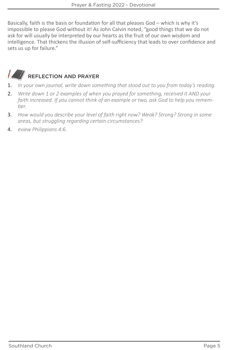Basically, faith is the basis or foundation for all that pleases God – which is why it's impossible to please God without it! As John Calvin noted, "good things that we do not ask for will usually be interpreted by our hearts as the fruit of our own wisdom and intelligence. That thickens the illusion of self-sufficiency that leads to over confidence and sets us up for failure."



- 1. *In your own journal, write down something that stood out to you from today's reading.*
- 2. *Write down 1 or 2 examples of when you prayed for something, received it AND your faith increased. If you cannot think of an example or two, ask God to help you remember.*
- 3. *How would you describe your level of faith right now? Weak? Strong? Strong in some areas, but struggling regarding certain circumstances?*
- 4. *eview Philippians 4:6.*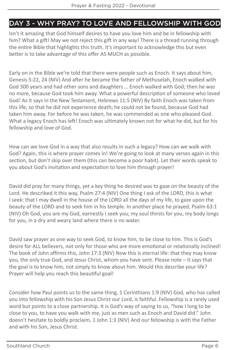### DAY 3 - WHY PRAY? TO LOVE AND FELLOWSHIP WITH GOD

Isn't it amazing that God himself desires to have you love him and be in fellowship with him? What a gift! May we not reject this gift in any way! There is a thread running through the entire Bible that highlights this truth. It's important to acknowledge this but even better is to take advantage of this offer AS MUCH as possible.

Early on in the Bible we're told that there were people such as Enoch. It says about him, Genesis 5:22, 24 (NIV) And after he became the father of Methuselah, Enoch walked with God 300 years and had other sons and daughters … Enoch walked with God; then he was no more, because God took him away. What a powerful description of someone who loved God! As it says in the New Testament, Hebrews 11:5 (NIV) By faith Enoch was taken from this life, so that he did not experience death; he could not be found, because God had taken him away. For before he was taken, he was commended as one who pleased God. What a legacy Enoch has left! Enoch was ultimately known not for what he did, but for his fellowship and love of God.

How can we love God in a way that also results in such a legacy? How can we walk with God? Again, this is where prayer comes in! We're going to look at many verses again in this section, but don't skip over them (this can become a poor habit). Let their words speak to you about God's invitation and expectation to love him through prayer!

David did pray for many things, yet a key thing he desired was to gaze on the beauty of the Lord. He described it this way, Psalm 27:4 (NIV) One thing I ask of the LORD, this is what I seek: that I may dwell in the house of the LORD all the days of my life, to gaze upon the beauty of the LORD and to seek him in his temple. In another place he prayed, Psalm 63:1 (NIV) Oh God, you are my God, earnestly I seek you; my soul thirsts for you, my body longs for you, in a dry and weary land where there is no water.

David saw prayer as one way to seek God, to know him, to be close to him. This is God's desire for ALL believers, not only for those who are more emotional or relationally inclined! The book of John affirms this, John 17:3 (NIV) Now this is eternal life: that they may know you, the only true God, and Jesus Christ, whom you have sent. Please note – it says that the goal is to know him, not simply to know about him. Would this describe your life? Prayer will help you reach this beautiful goal!

Consider how Paul points us to the same thing, 1 Corinthians 1:9 (NIV) God, who has called you into fellowship with his Son Jesus Christ our Lord, is faithful. Fellowship is a rarely used word but points to a close partnership. It is God's way of saying to us, "how I long to be close to you, to have you walk with me, just as men such as Enoch and David did." John doesn't hesitate to boldly proclaim, 1 John 1:3 (NIV) And our fellowship is with the Father and with his Son, Jesus Christ.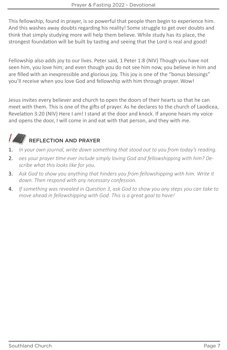This fellowship, found in prayer, is so powerful that people then begin to experience him. And this washes away doubts regarding his reality! Some struggle to get over doubts and think that simply studying more will help them believe. While study has its place, the strongest foundation will be built by tasting and seeing that the Lord is real and good!

Fellowship also adds joy to our lives. Peter said, 1 Peter 1:8 (NIV) Though you have not seen him, you love him; and even though you do not see him now, you believe in him and are filled with an inexpressible and glorious joy. This joy is one of the "bonus blessings" you'll receive when you love God and fellowship with him through prayer. Wow!

Jesus invites every believer and church to open the doors of their hearts so that he can meet with them. This is one of the gifts of prayer. As he declares to the church of Laodicea, Revelation 3:20 (NIV) Here I am! I stand at the door and knock. If anyone hears my voice and opens the door, I will come in and eat with that person, and they with me.

- 1. *In your own journal, write down something that stood out to you from today's reading.*
- 2. *oes your prayer time ever include simply loving God and fellowshipping with him? Describe what this looks like for you.*
- 3. *Ask God to show you anything that hinders you from fellowshipping with him. Write it down. Then respond with any necessary confession.*
- 4. *If something was revealed in Question 3, ask God to show you any steps you can take to move ahead in fellowshipping with God. This is a great goal to have!*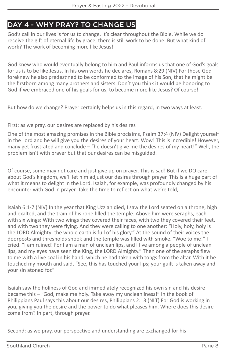### DAY 4 - WHY PRAY? TO CHANGE US

God's call in our lives is for us to change. It's clear throughout the Bible. While we do receive the gift of eternal life by grace, there is still work to be done. But what kind of work? The work of becoming more like Jesus!

God knew who would eventually belong to him and Paul informs us that one of God's goals for us is to be like Jesus. In his own words he declares, Romans 8:29 (NIV) For those God foreknew he also predestined to be conformed to the image of his Son, that he might be the firstborn among many brothers and sisters. Don't you think it would be honoring to God if we embraced one of his goals for us, to become more like Jesus? Of course!

But how do we change? Prayer certainly helps us in this regard, in two ways at least.

First: as we pray, our desires are replaced by his desires

One of the most amazing promises in the Bible proclaims, Psalm 37:4 (NIV) Delight yourself in the Lord and he will give you the desires of your heart. Wow! This is incredible! However, many get frustrated and conclude – "he doesn't give me the desires of my heart!" Well, the problem isn't with prayer but that our desires can be misguided.

Of course, some may not care and just give up on prayer. This is sad! But if we DO care about God's kingdom, we'll let him adjust our desires through prayer. This is a huge part of what it means to delight in the Lord. Isaiah, for example, was profoundly changed by his encounter with God in prayer. Take the time to reflect on what we're told,

Isaiah 6:1-7 (NIV) In the year that King Uzziah died, I saw the Lord seated on a throne, high and exalted, and the train of his robe filled the temple. Above him were seraphs, each with six wings: With two wings they covered their faces, with two they covered their feet, and with two they were flying. And they were calling to one another: "Holy, holy, holy is the LORD Almighty; the whole earth is full of his glory." At the sound of their voices the doorposts and thresholds shook and the temple was filled with smoke. "Woe to me!" I cried. "I am ruined! For I am a man of unclean lips, and I live among a people of unclean lips, and my eyes have seen the King, the LORD Almighty." Then one of the seraphs flew to me with a live coal in his hand, which he had taken with tongs from the altar. With it he touched my mouth and said, "See, this has touched your lips; your guilt is taken away and your sin atoned for."

Isaiah saw the holiness of God and immediately recognized his own sin and his desire became this – "God, make me holy. Take away my uncleanliness!" In the book of Philippians Paul says this about our desires, Philippians 2:13 (NLT) For God is working in you, giving you the desire and the power to do what pleases him. Where does this desire come from? In part, through prayer.

Second: as we pray, our perspective and understanding are exchanged for his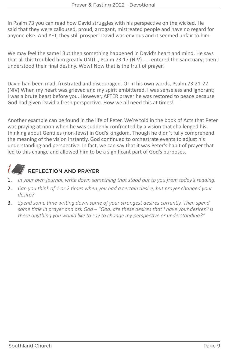In Psalm 73 you can read how David struggles with his perspective on the wicked. He said that they were calloused, proud, arrogant, mistreated people and have no regard for anyone else. And YET, they still prosper! David was envious and it seemed unfair to him.

We may feel the same! But then something happened in David's heart and mind. He says that all this troubled him greatly UNTIL, Psalm 73:17 (NIV) … I entered the sanctuary; then I understood their final destiny. Wow! Now that is the fruit of prayer!

David had been mad, frustrated and discouraged. Or in his own words, Psalm 73:21-22 (NIV) When my heart was grieved and my spirit embittered, I was senseless and ignorant; I was a brute beast before you. However, AFTER prayer he was restored to peace because God had given David a fresh perspective. How we all need this at times!

Another example can be found in the life of Peter. We're told in the book of Acts that Peter was praying at noon when he was suddenly confronted by a vision that challenged his thinking about Gentiles (non-Jews) in God's kingdom. Though he didn't fully comprehend the meaning of the vision instantly, God continued to orchestrate events to adjust his understanding and perspective. In fact, we can say that it was Peter's habit of prayer that led to this change and allowed him to be a significant part of God's purposes.

- 1. *In your own journal, write down something that stood out to you from today's reading.*
- 2. *Can you think of 1 or 2 times when you had a certain desire, but prayer changed your desire?*
- 3. *Spend some time writing down some of your strongest desires currently. Then spend some time in prayer and ask God – "God, are these desires that I have your desires? Is there anything you would like to say to change my perspective or understanding?"*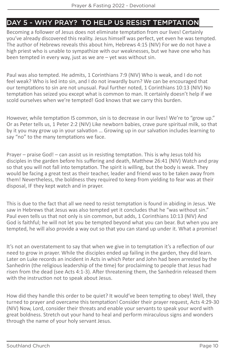### DAY 5 - WHY PRAY? TO HELP US RESIST TEMPTATION

Becoming a follower of Jesus does not eliminate temptation from our lives! Certainly you've already discovered this reality. Jesus himself was perfect, yet even he was tempted. The author of Hebrews reveals this about him, Hebrews 4:15 (NIV) For we do not have a high priest who is unable to sympathize with our weaknesses, but we have one who has been tempted in every way, just as we are – yet was without sin.

Paul was also tempted. He admits, 1 Corinthians 7:9 (NIV) Who is weak, and I do not feel weak? Who is led into sin, and I do not inwardly burn? We can be encouraged that our temptations to sin are not unusual. Paul further noted, 1 Corinthians 10:13 (NIV) No temptation has seized you except what is common to man. It certainly doesn't help if we scold ourselves when we're tempted! God knows that we carry this burden.

However, while temptation IS common, sin is to decrease in our lives! We're to "grow up." Or as Peter tells us, 1 Peter 2:2 (NIV) Like newborn babies, crave pure spiritual milk, so that by it you may grow up in your salvation … Growing up in our salvation includes learning to say "no" to the many temptations we face.

Prayer – praise God! – can assist us in resisting temptation. This is why Jesus told his disciples in the garden before his suffering and death, Matthew 26:41 (NIV) Watch and pray so that you will not fall into temptation. The spirit is willing, but the body is weak. They would be facing a great test as their teacher, leader and friend was to be taken away from them! Nevertheless, the boldness they required to keep from yielding to fear was at their disposal, IF they kept watch and in prayer.

This is due to the fact that all we need to resist temptation is found in abiding in Jesus. We saw in Hebrews that Jesus was also tempted yet it concludes that he "was without sin." Paul even tells us that not only is sin common, but adds, 1 Corinthians 10:13 (NIV) And God is faithful; he will not let you be tempted beyond what you can bear. But when you are tempted, he will also provide a way out so that you can stand up under it. What a promise!

It's not an overstatement to say that when we give in to temptation it's a reflection of our need to grow in prayer. While the disciples ended up failing in the garden, they did learn. Later on Luke records an incident in Acts in which Peter and John had been arrested by the Sanhedrin (the religious leadership of the time) for proclaiming to people that Jesus had risen from the dead (see Acts 4:1-3). After threatening them, the Sanhedrin released them with the instruction not to speak about Jesus.

How did they handle this order to be quiet? It would've been tempting to obey! Well, they turned to prayer and overcame this temptation! Consider their prayer request, Acts 4:29-30 (NIV) Now, Lord, consider their threats and enable your servants to speak your word with great boldness. Stretch out your hand to heal and perform miraculous signs and wonders through the name of your holy servant Jesus.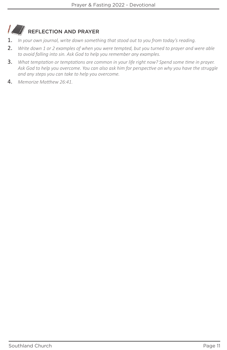#### $\mathcal{L}$ REFLECTION AND PRAYER

- 1. *In your own journal, write down something that stood out to you from today's reading.*
- 2. *Write down 1 or 2 examples of when you were tempted, but you turned to prayer and were able to avoid falling into sin. Ask God to help you remember any examples.*
- 3. *What temptation or temptations are common in your life right now? Spend some time in prayer. Ask God to help you overcome. You can also ask him for perspective on why you have the struggle and any steps you can take to help you overcome.*
- 4. *Memorize Matthew 26:41.*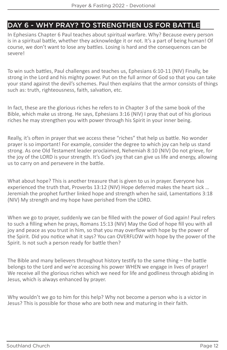### DAY 6 - WHY PRAY? TO STRENGTHEN US FOR BATTLE

In Ephesians Chapter 6 Paul teaches about spiritual warfare. Why? Because every person is in a spiritual battle, whether they acknowledge it or not. It's a part of being human! Of course, we don't want to lose any battles. Losing is hard and the consequences can be severe!

To win such battles, Paul challenges and teaches us, Ephesians 6:10-11 (NIV) Finally, be strong in the Lord and his mighty power. Put on the full armor of God so that you can take your stand against the devil's schemes. Paul then explains that the armor consists of things such as: truth, righteousness, faith, salvation, etc.

In fact, these are the glorious riches he refers to in Chapter 3 of the same book of the Bible, which make us strong. He says, Ephesians 3:16 (NIV) I pray that out of his glorious riches he may strengthen you with power through his Spirit in your inner being.

Really, it's often in prayer that we access these "riches" that help us battle. No wonder prayer is so important! For example, consider the degree to which joy can help us stand strong. As one Old Testament leader proclaimed, Nehemiah 8:10 (NIV) Do not grieve, for the joy of the LORD is your strength. It's God's joy that can give us life and energy, allowing us to carry on and persevere in the battle.

What about hope? This is another treasure that is given to us in prayer. Everyone has experienced the truth that, Proverbs 13:12 (NIV) Hope deferred makes the heart sick … Jeremiah the prophet further linked hope and strength when he said, Lamentations 3:18 (NIV) My strength and my hope have perished from the LORD.

When we go to prayer, suddenly we can be filled with the power of God again! Paul refers to such a filling when he prays, Romans 15:13 (NIV) May the God of hope fill you with all joy and peace as you trust in him, so that you may overflow with hope by the power of the Spirit. Did you notice what it says? You can OVERFLOW with hope by the power of the Spirit. Is not such a person ready for battle then?

The Bible and many believers throughout history testify to the same thing – the battle belongs to the Lord and we're accessing his power WHEN we engage in lives of prayer! We receive all the glorious riches which we need for life and godliness through abiding in Jesus, which is always enhanced by prayer.

Why wouldn't we go to him for this help? Why not become a person who is a victor in Jesus? This is possible for those who are both new and maturing in their faith.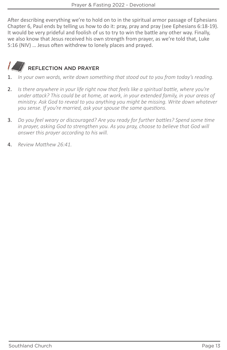After describing everything we're to hold on to in the spiritual armor passage of Ephesians Chapter 6, Paul ends by telling us how to do it: pray, pray and pray (see Ephesians 6:18-19). It would be very prideful and foolish of us to try to win the battle any other way. Finally, we also know that Jesus received his own strength from prayer, as we're told that, Luke 5:16 (NIV) … Jesus often withdrew to lonely places and prayed.



- 1. *In your own words, write down something that stood out to you from today's reading.*
- 2. *Is there anywhere in your life right now that feels like a spiritual battle, where you're under attack? This could be at home, at work, in your extended family, in your areas of ministry. Ask God to reveal to you anything you might be missing. Write down whatever you sense. If you're married, ask your spouse the same questions.*
- 3. *Do you feel weary or discouraged? Are you ready for further battles? Spend some time in prayer, asking God to strengthen you. As you pray, choose to believe that God will answer this prayer according to his will.*
- 4. *Review Matthew 26:41.*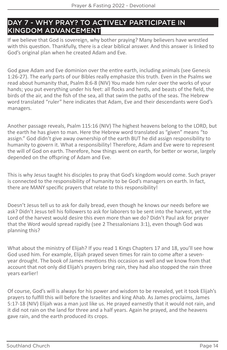### DAY 7 - WHY PRAY? TO ACTIVELY PARTICIPATE IN KINGDOM ADVANCEMENT

If we believe that God is sovereign, why bother praying? Many believers have wrestled with this question. Thankfully, there is a clear biblical answer. And this answer is linked to God's original plan when he created Adam and Eve.

God gave Adam and Eve dominion over the entire earth, including animals (see Genesis 1:26-27). The early parts of our Bibles really emphasize this truth. Even in the Psalms we read about humanity that, Psalm 8:6-8 (NIV) You made him ruler over the works of your hands; you put everything under his feet: all flocks and herds, and beasts of the field, the birds of the air, and the fish of the sea, all that swim the paths of the seas. The Hebrew word translated "ruler" here indicates that Adam, Eve and their descendants were God's managers.

Another passage reveals, Psalm 115:16 (NIV) The highest heavens belong to the LORD, but the earth he has given to man. Here the Hebrew word translated as "given" means "to assign." God didn't give away ownership of the earth BUT he did assign responsibility to humanity to govern it. What a responsibility! Therefore, Adam and Eve were to represent the will of God on earth. Therefore, how things went on earth, for better or worse, largely depended on the offspring of Adam and Eve.

This is why Jesus taught his disciples to pray that God's kingdom would come. Such prayer is connected to the responsibility of humanity to be God's managers on earth. In fact, there are MANY specific prayers that relate to this responsibility!

Doesn't Jesus tell us to ask for daily bread, even though he knows our needs before we ask? Didn't Jesus tell his followers to ask for laborers to be sent into the harvest, yet the Lord of the harvest would desire this even more than we do? Didn't Paul ask for prayer that the Word would spread rapidly (see 2 Thessalonians 3:1), even though God was planning this?

What about the ministry of Elijah? If you read 1 Kings Chapters 17 and 18, you'll see how God used him. For example, Elijah prayed seven times for rain to come after a sevenyear drought. The book of James mentions this occasion as well and we know from that account that not only did Elijah's prayers bring rain, they had also stopped the rain three years earlier!

Of course, God's will is always for his power and wisdom to be revealed, yet it took Elijah's prayers to fulfill this will before the Israelites and king Ahab. As James proclaims, James 5:17-18 (NIV) Elijah was a man just like us. He prayed earnestly that it would not rain, and it did not rain on the land for three and a half years. Again he prayed, and the heavens gave rain, and the earth produced its crops.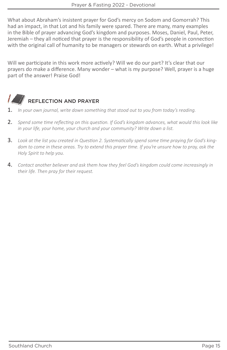What about Abraham's insistent prayer for God's mercy on Sodom and Gomorrah? This had an impact, in that Lot and his family were spared. There are many, many examples in the Bible of prayer advancing God's kingdom and purposes. Moses, Daniel, Paul, Peter, Jeremiah – they all noticed that prayer is the responsibility of God's people in connection with the original call of humanity to be managers or stewards on earth. What a privilege!

Will we participate in this work more actively? Will we do our part? It's clear that our prayers do make a difference. Many wonder – what is my purpose? Well, prayer is a huge part of the answer! Praise God!



- 1. *In your own journal, write down something that stood out to you from today's reading.*
- 2. *Spend some time reflecting on this question. If God's kingdom advances, what would this look like in your life, your home, your church and your community? Write down a list.*
- 3. *Look at the list you created in Question 2. Systematically spend some time praying for God's kingdom to come in these areas. Try to extend this prayer time. If you're unsure how to pray, ask the Holy Spirit to help you.*
- 4. *Contact another believer and ask them how they feel God's kingdom could come increasingly in their life. Then pray for their request.*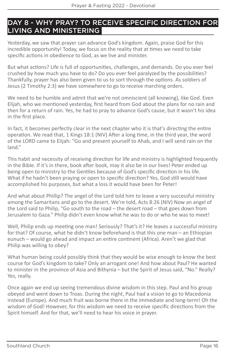### DAY 8 - WHY PRAY? TO RECEIVE SPECIFIC DIRECTION FOR LIVING AND MINISTERING

Yesterday, we saw that prayer can advance God's kingdom. Again, praise God for this incredible opportunity! Today, we focus on the reality that at times we need to take specific actions in obedience to God, as we live and minister.

But what actions? Life is full of opportunities, challenges, and demands. Do you ever feel crushed by how much you have to do? Do you ever feel paralyzed by the possibilities? Thankfully, prayer has also been given to us to sort through the options. As soldiers of Jesus (2 Timothy 2:3) we have somewhere to go to receive marching orders.

We need to be humble and admit that we're not omniscient (all knowing), like God. Even Elijah, who we mentioned yesterday, first heard from God about the plans for no rain and then for a return of rain. Yes, he had to pray to advance God's cause, but it wasn't his idea in the first place.

In fact, it becomes perfectly clear in the next chapter who it is that's directing the entire operation. We read that, 1 Kings 18:1 (NIV) After a long time, in the third year, the word of the LORD came to Elijah: "Go and present yourself to Ahab, and I will send rain on the land"

This habit and necessity of receiving direction for life and ministry is highlighted frequently in the Bible. If it's in there, book after book, may it also be in our lives! Peter ended up being open to ministry to the Gentiles because of God's specific direction in his life. What if he hadn't been praying or open to specific direction? Yes, God still would have accomplished his purposes, but what a loss it would have been for Peter!

And what about Phillip? The angel of the Lord told him to leave a very successful ministry among the Samaritans and go to the desert. We're told, Acts 8:26 (NIV) Now an angel of the Lord said to Philip, "Go south to the road – the desert road – that goes down from Jerusalem to Gaza." Philip didn't even know what he was to do or who he was to meet!

Well, Philip ends up meeting one man! Seriously? That's it? He leaves a successful ministry for that? Of course, what he didn't know beforehand is that this one man – an Ethiopian eunuch – would go ahead and impact an entire continent (Africa). Aren't we glad that Philip was willing to obey?

What human being could possibly think that they would be wise enough to know the best course for God's kingdom to take? Only an arrogant one! And how about Paul? He wanted to minister in the province of Asia and Bithynia – but the Spirit of Jesus said, "No." Really? Yes, really.

Once again we end up seeing tremendous divine wisdom in this step. Paul and his group obeyed and went down to Troas. During the night, Paul had a vision to go to Macedonia instead (Europe). And much fruit was borne there in the immediate and long-term! Oh the wisdom of God! However, for this wisdom we need to receive specific directions from the Spirit himself. And for that, we'll need to hear his voice in prayer.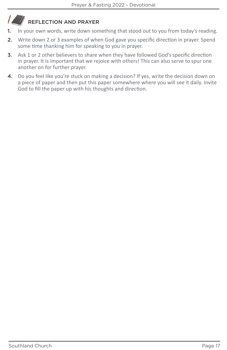- 1. In your own words, write down something that stood out to you from today's reading.
- 2. Write down 2 or 3 examples of when God gave you specific direction in prayer. Spend some time thanking him for speaking to you in prayer.
- 3. Ask 1 or 2 other believers to share when they have followed God's specific direction in prayer. It is important that we rejoice with others! This can also serve to spur one another on for further prayer.
- 4. Do you feel like you're stuck on making a decision? If yes, write the decision down on a piece of paper and then put this paper somewhere where you will see it daily. Invite God to fill the paper up with his thoughts and direction.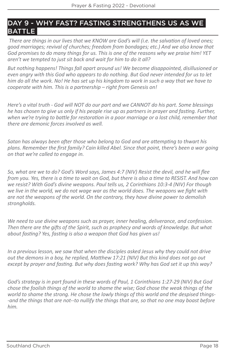### DAY 9 - WHY FAST? FASTING STRENGTHENS US AS WE **BATTLE**

 *There are things in our lives that we KNOW are God's will (i.e. the salvation of loved ones; good marriages; revival of churches; freedom from bondages; etc.) And we also know that God promises to do many things for us. This is one of the reasons why we praise him! YET aren't we tempted to just sit back and wait for him to do it all?*

*But nothing happens! Things fall apart around us! We become disappointed, disillusioned or even angry with this God who appears to do nothing. But God never intended for us to let him do all the work. No! He has set up his kingdom to work in such a way that we have to cooperate with him. This is a partnership – right from Genesis on!*

*Here's a vital truth - God will NOT do our part and we CANNOT do his part. Some blessings he has chosen to give us only if his people rise up as partners in prayer and fasting. Further,*  when we're trying to battle for restoration in a poor marriage or a lost child, remember that *there are demonic forces involved as well.*

*Satan has always been after those who belong to God and are attempting to thwart his plans. Remember the first family? Cain killed Abel. Since that point, there's been a war going on that we're called to engage in.*

*So, what are we to do? God's Word says, James 4:7 (NIV) Resist the devil, and he will flee from you. Yes, there is a time to wait on God, but there is also a time to RESIST. And how can we resist? With God's divine weapons. Paul tells us, 2 Corinthians 10:3-4 (NIV) For though we live in the world, we do not wage war as the world does. The weapons we fight with are not the weapons of the world. On the contrary, they have divine power to demolish strongholds.*

*We need to use divine weapons such as prayer, inner healing, deliverance, and confession. Then there are the gifts of the Spirit, such as prophecy and words of knowledge. But what about fasting? Yes, fasting is also a weapon that God has given us!*

*In a previous lesson, we saw that when the disciples asked Jesus why they could not drive out the demons in a boy, he replied, Matthew 17:21 (NIV) But this kind does not go out except by prayer and fasting. But why does fasting work? Why has God set it up this way?*

*God's strategy is in part found in these words of Paul, 1 Corinthians 1:27-29 (NIV) But God chose the foolish things of the world to shame the wise; God chose the weak things of the world to shame the strong. He chose the lowly things of this world and the despised things- -and the things that are not--to nullify the things that are, so that no one may boast before him.*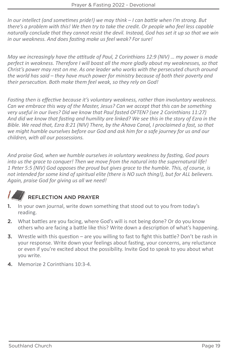*In our intellect (and sometimes pride!) we may think – I can battle when I'm strong. But there's a problem with this! We then try to take the credit. Or people who feel less capable naturally conclude that they cannot resist the devil. Instead, God has set it up so that we win in our weakness. And does fasting make us feel weak? For sure!*

*May we increasingly have the attitude of Paul, 2 Corinthians 12:9 (NIV) … my power is made perfect in weakness. Therefore I will boast all the more gladly about my weaknesses, so that Christ's power may rest on me. As one leader who works with the persecuted church around the world has said – they have much power for ministry because of both their poverty and their persecution. Both make them feel weak, so they rely on God!*

*Fasting then is effective because it's voluntary weakness, rather than involuntary weakness. Can we embrace this way of the Master, Jesus? Can we accept that this can be something very useful in our lives? Did we know that Paul fasted OFTEN? (see 2 Corinthians 11:27) And did we know that fasting and humility are linked? We see this in the story of Ezra in the Bible. We read that, Ezra 8:21 (NIV) There, by the Ahava Canal, I proclaimed a fast, so that we might humble ourselves before our God and ask him for a safe journey for us and our children, with all our possessions.*

*And praise God, when we humble ourselves in voluntary weakness by fasting, God pours into us the grace to conquer! Then we move from the natural into the supernatural life! 1 Peter 5:5 (NIV) God opposes the proud but gives grace to the humble. This, of course, is not intended for some kind of spiritual elite (there is NO such thing!), but for ALL believers. Again, praise God for giving us all we need!*

- 1. In your own journal, write down something that stood out to you from today's reading.
- 2. What battles are you facing, where God's will is not being done? Or do you know others who are facing a battle like this? Write down a description of what's happening.
- 3. Wrestle with this question are you willing to fast to fight this battle? Don't be rash in your response. Write down your feelings about fasting, your concerns, any reluctance or even if you're excited about the possibility. Invite God to speak to you about what you write.
- 4. Memorize 2 Corinthians 10:3-4.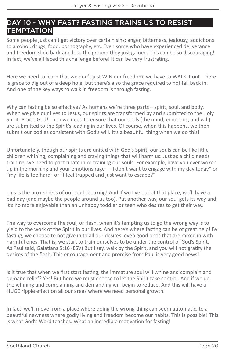### DAY 10 - WHY FAST? FASTING TRAINS US TO RESIST **TEMPTATION**

Some people just can't get victory over certain sins: anger, bitterness, jealousy, addictions to alcohol, drugs, food, pornography, etc. Even some who have experienced deliverance and freedom slide back and lose the ground they just gained. This can be so discouraging! In fact, we've all faced this challenge before! It can be very frustrating.

Here we need to learn that we don't just WIN our freedom; we have to WALK it out. There is grace to dig out of a deep hole, but there's also the grace required to not fall back in. And one of the key ways to walk in freedom is through fasting.

Why can fasting be so effective? As humans we're three parts – spirit, soul, and body. When we give our lives to Jesus, our spirits are transformed by and submitted to the Holy Spirit. Praise God! Then we need to ensure that our souls (the mind, emotions, and will) are submitted to the Spirit's leading in our lives. Of course, when this happens, we then submit our bodies consistent with God's will. It's a beautiful thing when we do this!

Unfortunately, though our spirits are united with God's Spirit, our souls can be like little children whining, complaining and craving things that will harm us. Just as a child needs training, we need to participate in re-training our souls. For example, have you ever woken up in the morning and your emotions rage – "I don't want to engage with my day today" or "my life is too hard" or "I feel trapped and just want to escape?"

This is the brokenness of our soul speaking! And if we live out of that place, we'll have a bad day (and maybe the people around us too). Put another way, our soul gets its way and it's no more enjoyable than an unhappy toddler or teen who desires to get their way.

The way to overcome the soul, or flesh, when it's tempting us to go the wrong way is to yield to the work of the Spirit in our lives. And here's where fasting can be of great help! By fasting, we choose to not give in to all our desires, even good ones that are mixed in with harmful ones. That is, we start to train ourselves to be under the control of God's Spirit. As Paul said, Galatians 5:16 (ESV) But I say, walk by the Spirit, and you will not gratify the desires of the flesh. This encouragement and promise from Paul is very good news!

Is it true that when we first start fasting, the immature soul will whine and complain and demand relief? Yes! But here we must choose to let the Spirit take control. And if we do, the whining and complaining and demanding will begin to reduce. And this will have a HUGE ripple effect on all our areas where we need personal growth.

In fact, we'll move from a place where doing the wrong thing can seem automatic, to a beautiful newness where godly living and freedom become our habits. This is possible! This is what God's Word teaches. What an incredible motivation for fasting!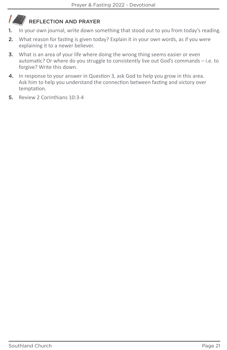- 1. In your own journal, write down something that stood out to you from today's reading.
- 2. What reason for fasting is given today? Explain it in your own words, as if you were explaining it to a newer believer.
- **3.** What is an area of your life where doing the wrong thing seems easier or even automatic? Or where do you struggle to consistently live out God's commands – i.e. to forgive? Write this down.
- 4. In response to your answer in Question 3, ask God to help you grow in this area. Ask him to help you understand the connection between fasting and victory over temptation.
- 5. Review 2 Corinthians 10:3-4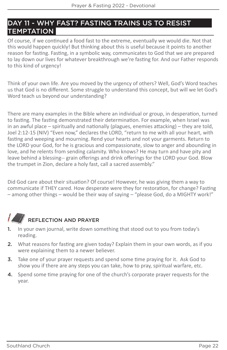### DAY 11 - WHY FAST? FASTING TRAINS US TO RESIST **TEMPTATION**

Of course, if we continued a food fast to the extreme, eventually we would die. Not that this would happen quickly! But thinking about this is useful because it points to another reason for fasting. Fasting, in a symbolic way, communicates to God that we are prepared to lay down our lives for whatever breakthrough we're fasting for. And our Father responds to this kind of urgency!

Think of your own life. Are you moved by the urgency of others? Well, God's Word teaches us that God is no different. Some struggle to understand this concept, but will we let God's Word teach us beyond our understanding?

There are many examples in the Bible where an individual or group, in desperation, turned to fasting. The fasting demonstrated their determination. For example, when Israel was in an awful place – spiritually and nationally (plagues, enemies attacking) – they are told, Joel 2:12-15 (NIV) "Even now," declares the LORD, "return to me with all your heart, with fasting and weeping and mourning. Rend your hearts and not your garments. Return to the LORD your God, for he is gracious and compassionate, slow to anger and abounding in love, and he relents from sending calamity. Who knows? He may turn and have pity and leave behind a blessing-- grain offerings and drink offerings for the LORD your God. Blow the trumpet in Zion, declare a holy fast, call a sacred assembly."

Did God care about their situation? Of course! However, he was giving them a way to communicate if THEY cared. How desperate were they for restoration, for change? Fasting – among other things – would be their way of saying – "please God, do a MIGHTY work!"



- 1. In your own journal, write down something that stood out to you from today's reading.
- 2. What reasons for fasting are given today? Explain them in your own words, as if you were explaining them to a newer believer.
- 3. Take one of your prayer requests and spend some time praying for it. Ask God to show you if there are any steps you can take, how to pray, spiritual warfare, etc.
- 4. Spend some time praying for one of the church's corporate prayer requests for the year.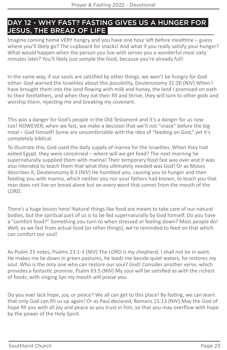### DAY 12 - WHY FAST? FASTING GIVES US A HUNGER FOR JESUS, THE BREAD OF LIFE

Imagine coming home VERY hungry and you have one hour left before mealtime – guess where you'll likely go? The cupboard for snacks! And what if you really satisfy your hunger? What would happen when the person you live with serves you a wonderful meal sixty minutes later? You'll likely just sample the food, because you're already full!

In the same way, if our souls are satisfied by other things, we won't be hungry for God either. God warned the Israelites about this possibility, Deuteronomy 31:20 (NIV) When I have brought them into the land flowing with milk and honey, the land I promised on oath to their forefathers, and when they eat their fill and thrive, they will turn to other gods and worship them, rejecting me and breaking my covenant.

This was a danger for God's people in the Old Testament and it's a danger for us now too! HOWEVER, when we fast, we make a decision that we'll not "snack" before the big meal – God himself! Some are uncomfortable with the idea of "feeding on God," yet it's completely biblical.

To illustrate this, God used the daily supply of manna for the Israelites. When they had exited Egypt, they were concerned – where will we get food? The next morning he supernaturally supplied them with manna! Their temporary food fast was over and it was also intended to teach them that what they ultimately needed was God! Or as Moses describes it, Deuteronomy 8:3 (NIV) He humbled you, causing you to hunger and then feeding you with manna, which neither you nor your fathers had known, to teach you that man does not live on bread alone but on every word that comes from the mouth of the LORD.

There's a huge lesson here! Natural things like food are meant to take care of our natural bodies, but the spiritual part of us is to be fed supernaturally by God himself. Do you have a "comfort food?" Something you turn to when stressed or feeling down? Most people do! Well, as we fast from actual food (or other things), we're reminded to feed on that which can comfort our soul!

As Psalm 23 notes, Psalms 23:1-3 (NIV) The LORD is my shepherd, I shall not be in want. He makes me lie down in green pastures, he leads me beside quiet waters, he restores my soul. Who is the only one who can restore our soul? God! Consider another verse, which provides a fantastic promise, Psalm 63:5 (NIV) My soul will be satisfied as with the richest of foods; with singing lips my mouth will praise you.

Do you ever lack hope, joy, or peace? We all can get to this place! By fasting, we can learn that only God can fill us up again! Or as Paul declared, Romans 15:13 (NIV) May the God of hope fill you with all joy and peace as you trust in him, so that you may overflow with hope by the power of the Holy Spirit.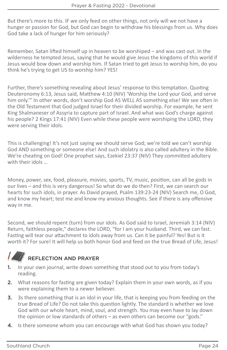But there's more to this. IF we only feed on other things, not only will we not have a hunger or passion for God, but God can begin to withdraw his blessings from us. Why does God take a lack of hunger for him seriously?

Remember, Satan lifted himself up in heaven to be worshiped – and was cast out. In the wilderness he tempted Jesus, saying that he would give Jesus the kingdoms of this world if Jesus would bow down and worship him. If Satan tried to get Jesus to worship him, do you think he's trying to get US to worship him? YES!

Further, there's something revealing about Jesus' response to this temptation. Quoting Deuteronomy 6:13, Jesus said, Matthew 4:10 (NIV) 'Worship the Lord your God, and serve him only.'" In other words, don't worship God AS WELL AS something else! We see often in the Old Testament that God judged Israel for their divided worship. For example, he sent King Shalmaneser of Assyria to capture part of Israel. And what was God's charge against his people? 2 Kings 17:41 (NIV) Even while these people were worshiping the LORD, they were serving their idols.

This is challenging! It's not just saying we should serve God; we're told we can't worship God AND something or someone else! And such idolatry is also called adultery in the Bible. We're cheating on God! One prophet says, Ezekiel 23:37 (NIV) They committed adultery with their idols …

Money, power, sex, food, pleasure, movies, sports, TV, music, position, can all be gods in our lives – and this is very dangerous! So what do we do then? First, we can search our hearts for such idols, in prayer. As David prayed, Psalm 139:23-24 (NIV) Search me, O God, and know my heart; test me and know my anxious thoughts. See if there is any offensive way in me.

Second, we should repent (turn) from our idols. As God said to Israel, Jeremiah 3:14 (NIV) Return, faithless people," declares the LORD, "for I am your husband. Third, we can fast. Fasting will tear our attachment to idols away from us. Can it be painful? Yes! But is it worth it? For sure! It will help us both honor God and feed on the true Bread of Life, Jesus!

- 1. In your own journal, write down something that stood out to you from today's reading.
- 2. What reasons for fasting are given today? Explain them in your own words, as if you were explaining them to a newer believer.
- **3.** 3s there something that is an idol in your life, that is keeping you from feeding on the true Bread of Life? Do not take this question lightly. The standard is whether we love God with our whole heart, mind, soul, and strength. You may even have to lay down the opinion or low standards of others – as even others can become our "gods."
- 4. Is there someone whom you can encourage with what God has shown you today?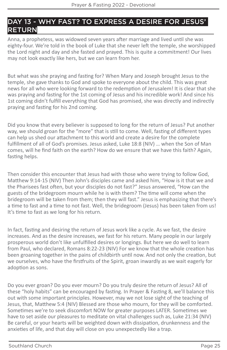### DAY 13 - WHY FAST? TO EXPRESS A DESIRE FOR JESUS' RETURN

Anna, a prophetess, was widowed seven years after marriage and lived until she was eighty-four. We're told in the book of Luke that she never left the temple, she worshipped the Lord night and day and she fasted and prayed. This is quite a commitment! Our lives may not look exactly like hers, but we can learn from her.

But what was she praying and fasting for? When Mary and Joseph brought Jesus to the temple, she gave thanks to God and spoke to everyone about the child. This was great news for all who were looking forward to the redemption of Jerusalem! It is clear that she was praying and fasting for the 1st coming of Jesus and his incredible work! And since his 1st coming didn't fulfill everything that God has promised, she was directly and indirectly praying and fasting for his 2nd coming.

Did you know that every believer is supposed to long for the return of Jesus? Put another way, we should groan for the "more" that is still to come. Well, fasting of different types can help us shed our attachment to this world and create a desire for the complete fulfillment of all of God's promises. Jesus asked, Luke 18:8 (NIV) … when the Son of Man comes, will he find faith on the earth? How do we ensure that we have this faith? Again, fasting helps.

Then consider this encounter that Jesus had with those who were trying to follow God, Matthew 9:14-15 (NIV) Then John's disciples came and asked him, "How is it that we and the Pharisees fast often, but your disciples do not fast?" Jesus answered, "How can the guests of the bridegroom mourn while he is with them? The time will come when the bridegroom will be taken from them; then they will fast." Jesus is emphasizing that there's a time to fast and a time to not fast. Well, the bridegroom (Jesus) has been taken from us! It's time to fast as we long for his return.

In fact, fasting and desiring the return of Jesus work like a cycle. As we fast, the desire increases. And as the desire increases, we fast for his return. Many people in our largely prosperous world don't like unfulfilled desires or longings. But here we do well to learn from Paul, who declared, Romans 8:22-23 (NIV) For we know that the whole creation has been groaning together in the pains of childbirth until now. And not only the creation, but we ourselves, who have the firstfruits of the Spirit, groan inwardly as we wait eagerly for adoption as sons.

Do you ever groan? Do you ever mourn? Do you truly desire the return of Jesus? All of these "holy habits" can be encouraged by fasting. In Prayer & Fasting 8, we'll balance this out with some important principles. However, may we not lose sight of the teaching of Jesus, that, Matthew 5:4 (NIV) Blessed are those who mourn, for they will be comforted. Sometimes we're to seek discomfort NOW for greater purposes LATER. Sometimes we have to set aside our pleasures to meditate on vital challenges such as, Luke 21:34 (NIV) Be careful, or your hearts will be weighted down with dissipation, drunkenness and the anxieties of life, and that day will close on you unexpectedly like a trap.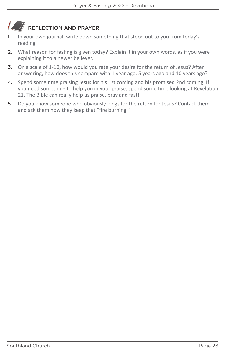#### $\mathcal{L}$ REFLECTION AND PRAYER

- 1. In your own journal, write down something that stood out to you from today's reading.
- 2. What reason for fasting is given today? Explain it in your own words, as if you were explaining it to a newer believer.
- 3. On a scale of 1-10, how would you rate your desire for the return of Jesus? After answering, how does this compare with 1 year ago, 5 years ago and 10 years ago?
- 4. Spend some time praising Jesus for his 1st coming and his promised 2nd coming. If you need something to help you in your praise, spend some time looking at Revelation 21. The Bible can really help us praise, pray and fast!
- 5. Do you know someone who obviously longs for the return for Jesus? Contact them and ask them how they keep that "fire burning."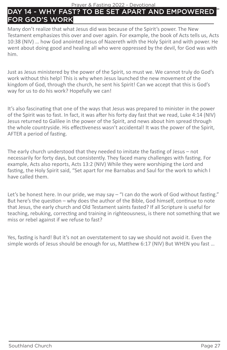#### Prayer & Fasting 2022 - Devotional

### DAY 14 - WHY FAST? TO BE SET APART AND EMPOWERE FOR GOD'S WORK

Many don't realize that what Jesus did was because of the Spirit's power. The New Testament emphasizes this over and over again. For example, the book of Acts tells us, Acts 10:38 (NIV) … how God anointed Jesus of Nazereth with the Holy Spirit and with power. He went about doing good and healing all who were oppressed by the devil, for God was with him.

Just as Jesus ministered by the power of the Spirit, so must we. We cannot truly do God's work without this help! This is why when Jesus launched the new movement of the kingdom of God, through the church, he sent his Spirit! Can we accept that this is God's way for us to do his work? Hopefully we can!

It's also fascinating that one of the ways that Jesus was prepared to minister in the power of the Spirit was to fast. In fact, it was after his forty day fast that we read, Luke 4:14 (NIV) Jesus returned to Galilee in the power of the Spirit, and news about him spread through the whole countryside. His effectiveness wasn't accidental! It was the power of the Spirit, AFTER a period of fasting.

The early church understood that they needed to imitate the fasting of Jesus – not necessarily for forty days, but consistently. They faced many challenges with fasting. For example, Acts also reports, Acts 13:2 (NIV) While they were worshiping the Lord and fasting, the Holy Spirit said, "Set apart for me Barnabas and Saul for the work to which I have called them.

Let's be honest here. In our pride, we may say – "I can do the work of God without fasting." But here's the question – why does the author of the Bible, God himself, continue to note that Jesus, the early church and Old Testament saints fasted? If all Scripture is useful for teaching, rebuking, correcting and training in righteousness, is there not something that we miss or rebel against if we refuse to fast?

Yes, fasting is hard! But it's not an overstatement to say we should not avoid it. Even the simple words of Jesus should be enough for us, Matthew 6:17 (NIV) But WHEN you fast …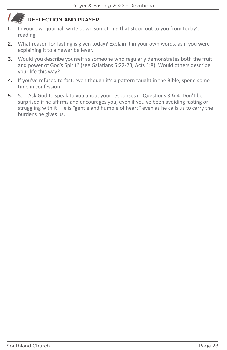- 1. In your own journal, write down something that stood out to you from today's reading.
- 2. What reason for fasting is given today? Explain it in your own words, as if you were explaining it to a newer believer.
- 3. Would you describe yourself as someone who regularly demonstrates both the fruit and power of God's Spirit? (see Galatians 5:22-23, Acts 1:8). Would others describe your life this way?
- 4. If you've refused to fast, even though it's a pattern taught in the Bible, spend some time in confession.
- 5. 5. Ask God to speak to you about your responses in Questions 3 & 4. Don't be surprised if he affirms and encourages you, even if you've been avoiding fasting or struggling with it! He is "gentle and humble of heart" even as he calls us to carry the burdens he gives us.